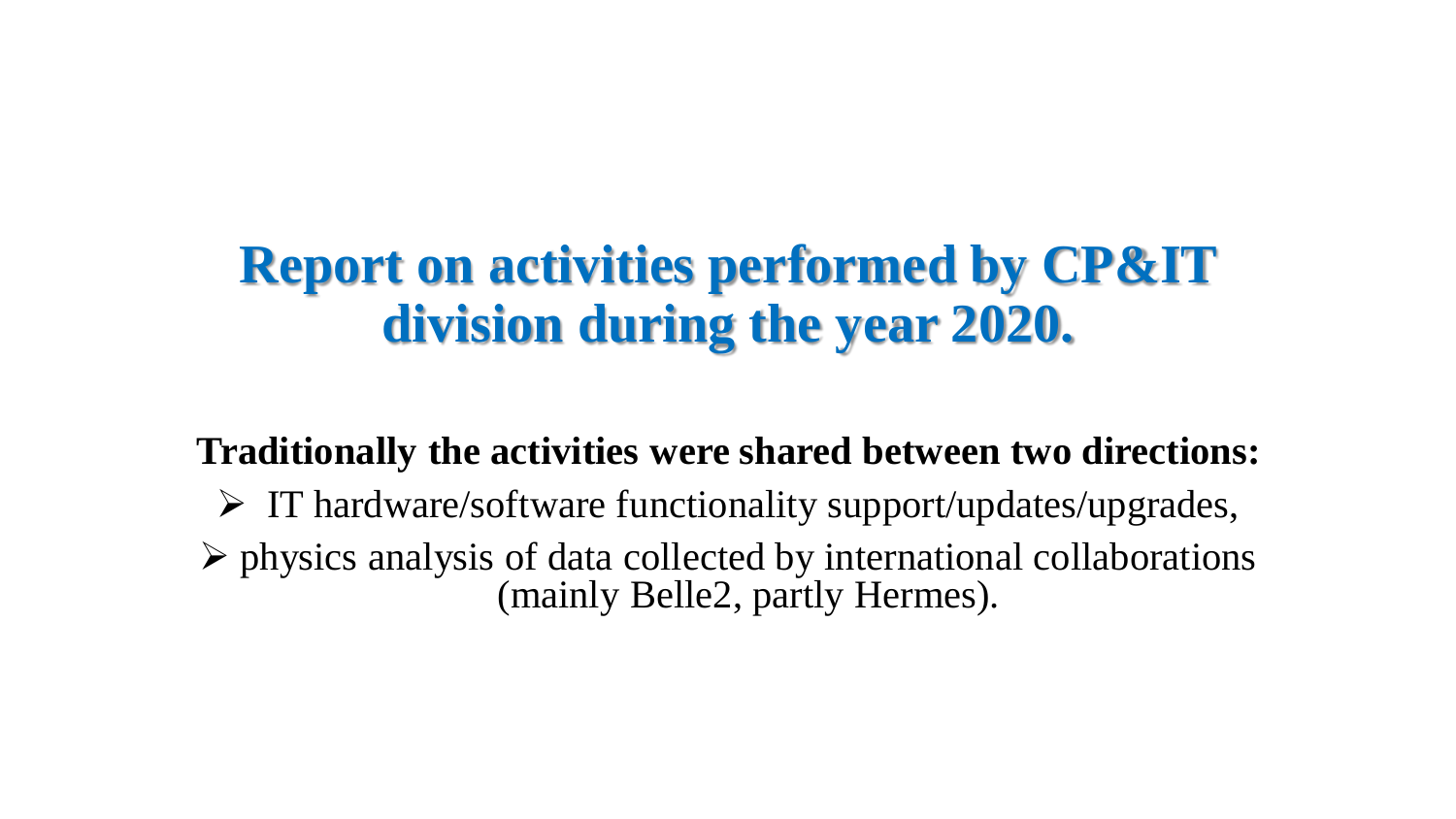## **Report on activities performed by CP&IT division during the year 2020.**

**Traditionally the activities were shared between two directions:**

 $\triangleright$  IT hardware/software functionality support/updates/upgrades,  $\triangleright$  physics analysis of data collected by international collaborations (mainly Belle2, partly Hermes).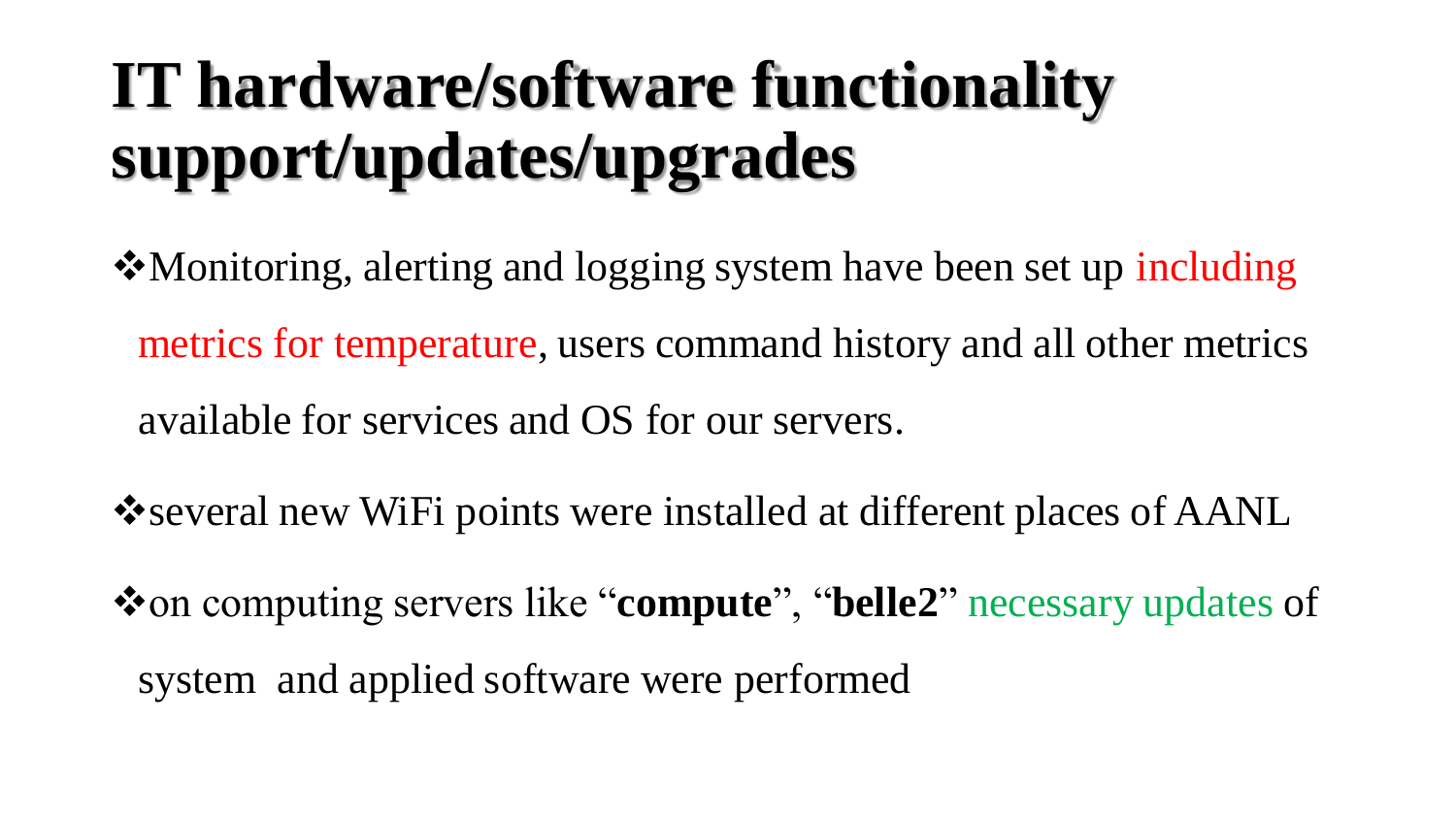# **IT hardware/software functionality support/updates/upgrades**

- •Monitoring, alerting and logging system have been set up including metrics for temperature, users command history and all other metrics available for services and OS for our servers.
- several new WiFi points were installed at different places of AANL
- on computing servers like "**compute**", "**belle2**" necessary updates of system and applied software were performed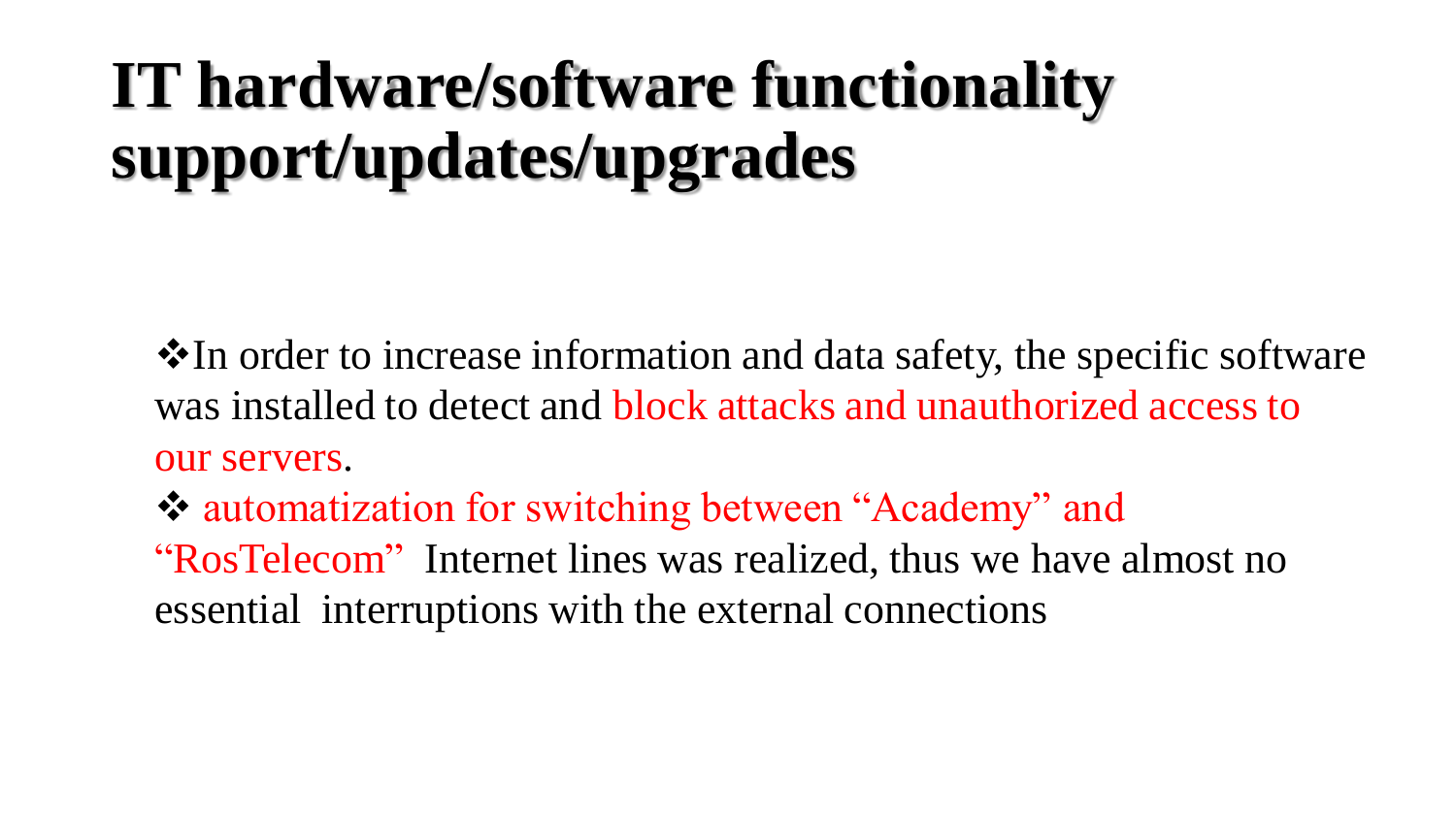# **IT hardware/software functionality support/updates/upgrades**

•• In order to increase information and data safety, the specific software was installed to detect and block attacks and unauthorized access to our servers.

 automatization for switching between "Academy" and "RosTelecom" Internet lines was realized, thus we have almost no essential interruptions with the external connections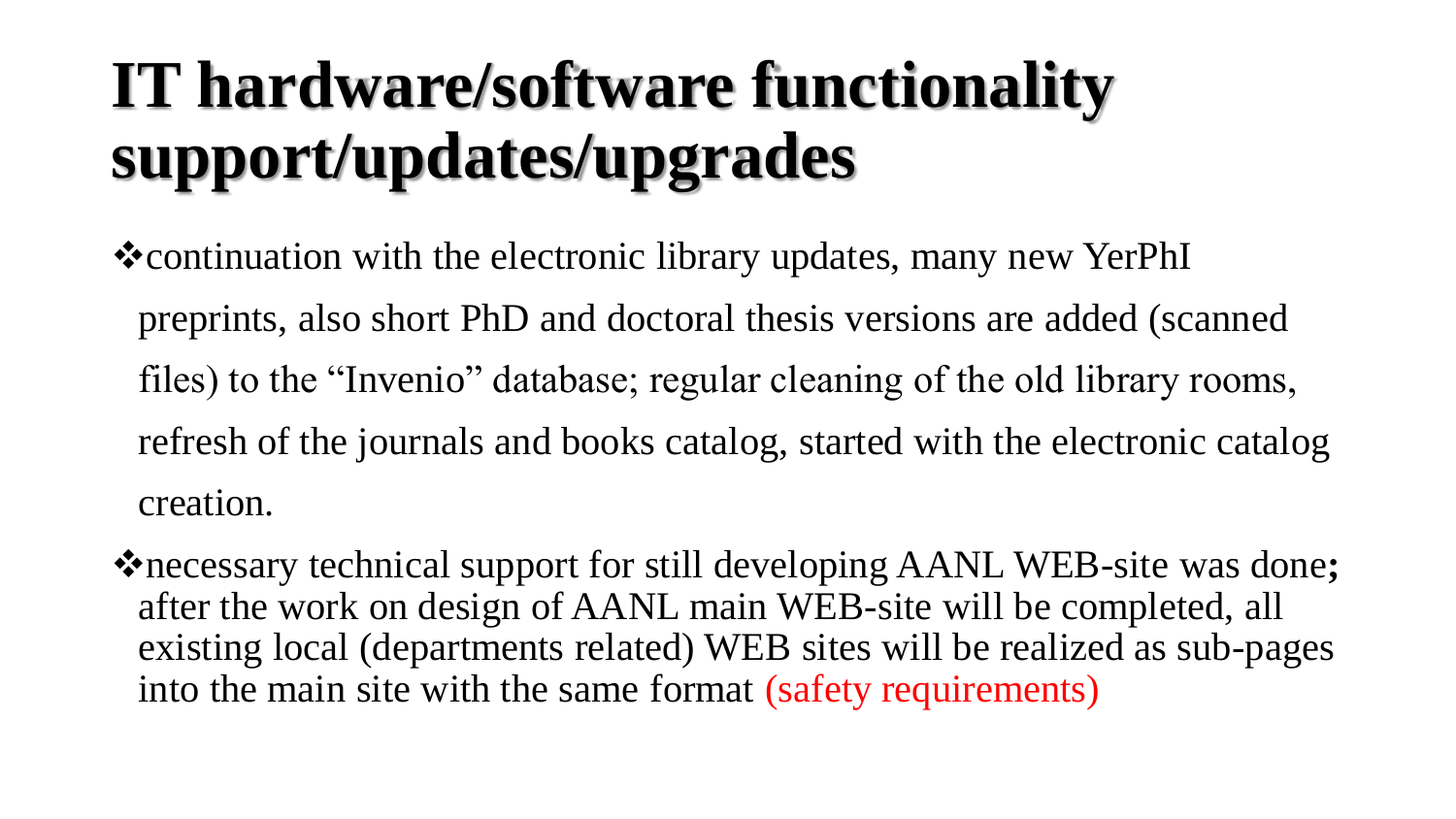# **IT hardware/software functionality support/updates/upgrades**

\*continuation with the electronic library updates, many new YerPhI preprints, also short PhD and doctoral thesis versions are added (scanned files) to the "Invenio" database; regular cleaning of the old library rooms, refresh of the journals and books catalog, started with the electronic catalog creation.

necessary technical support for still developing AANL WEB-site was done**;**  after the work on design of AANL main WEB-site will be completed, all existing local (departments related) WEB sites will be realized as sub-pages into the main site with the same format (safety requirements)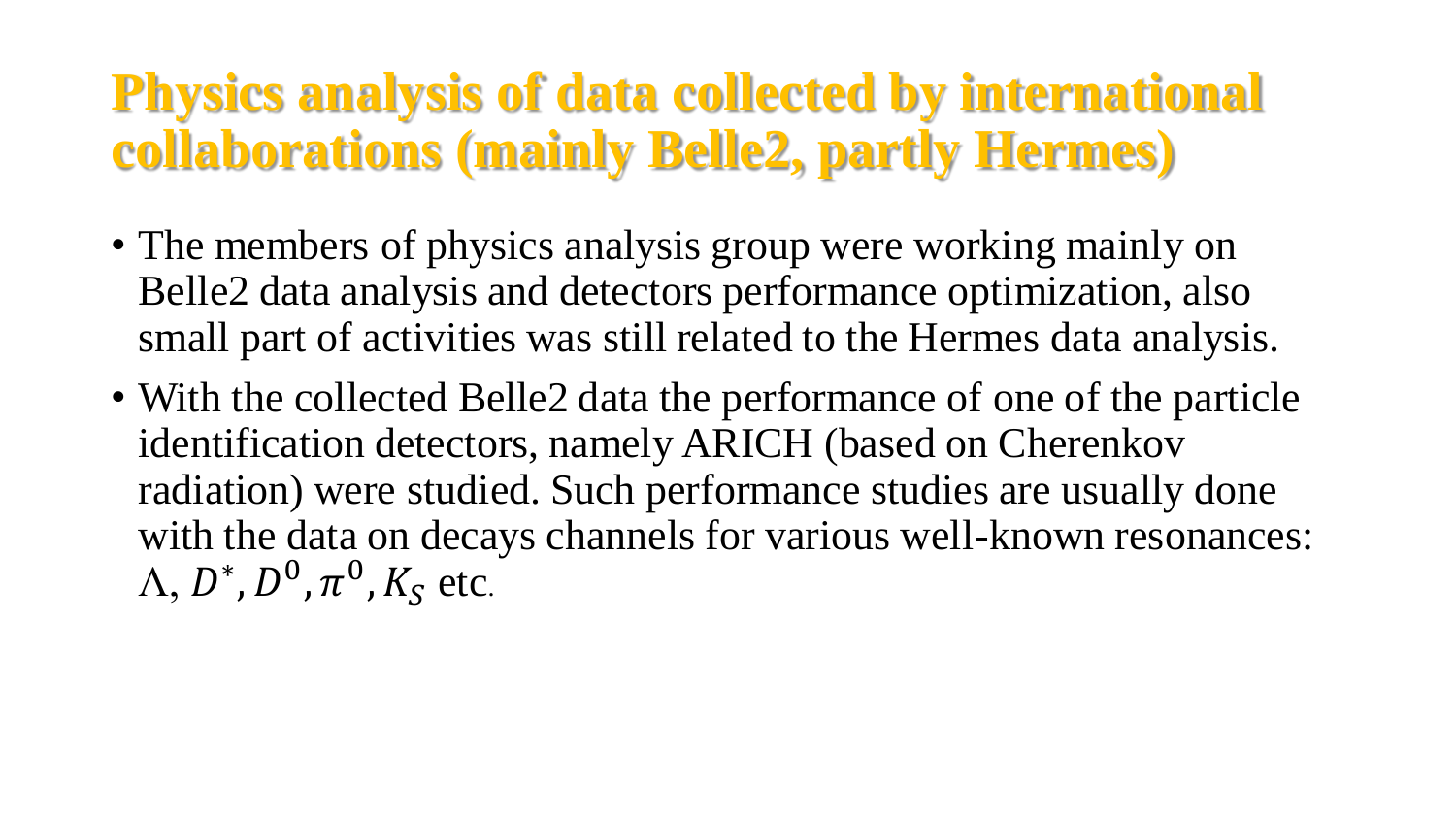- The members of physics analysis group were working mainly on Belle2 data analysis and detectors performance optimization, also small part of activities was still related to the Hermes data analysis.
- With the collected Belle2 data the performance of one of the particle identification detectors, namely ARICH (based on Cherenkov radiation) were studied. Such performance studies are usually done with the data on decays channels for various well-known resonances:  $\Lambda,$   $D^*,$   $D^0$  ,  $\pi^0$  ,  $K_S$  etc.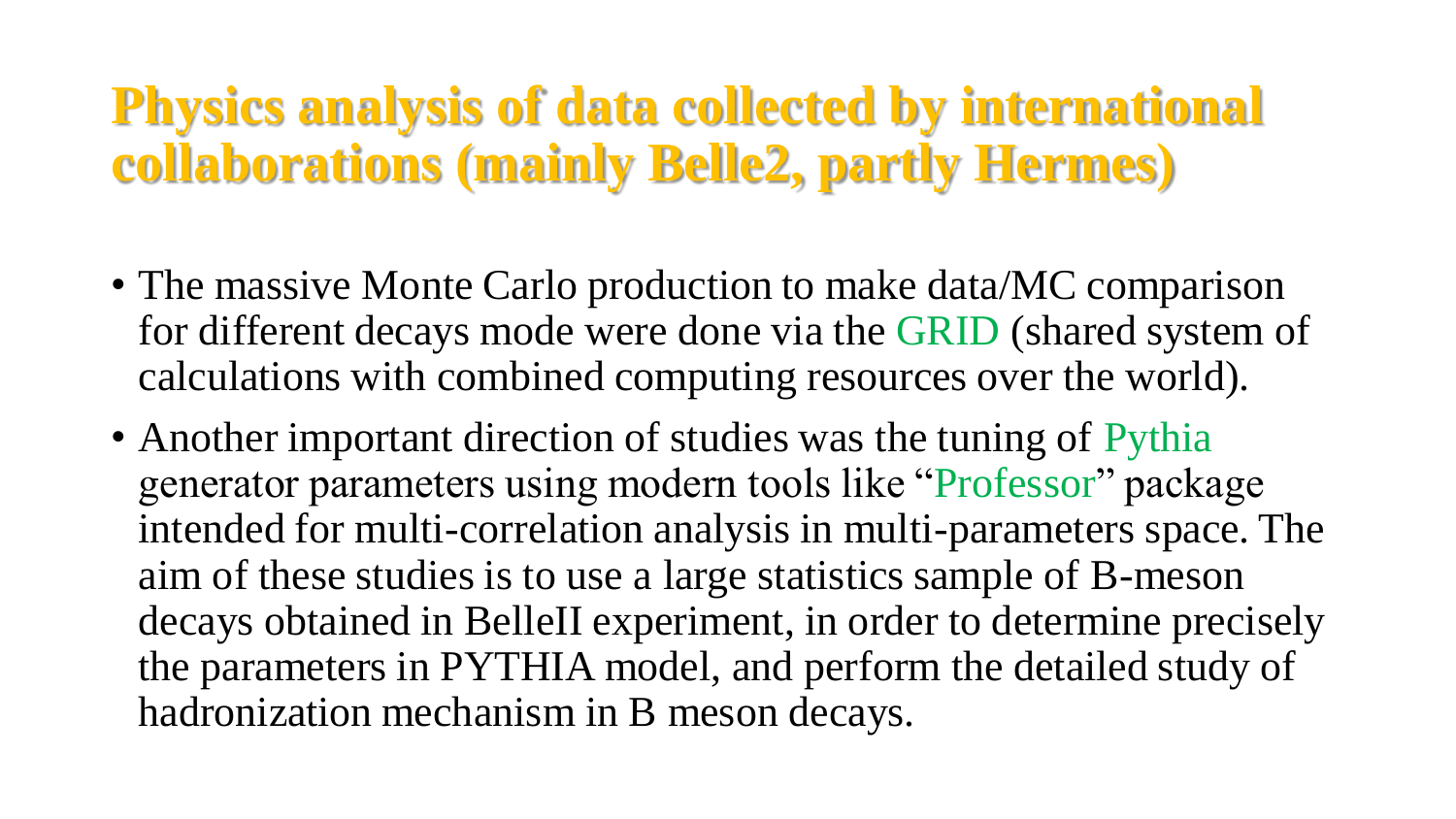- The massive Monte Carlo production to make data/MC comparison for different decays mode were done via the GRID (shared system of calculations with combined computing resources over the world).
- Another important direction of studies was the tuning of Pythia generator parameters using modern tools like "Professor" package intended for multi-correlation analysis in multi-parameters space. The aim of these studies is to use a large statistics sample of B-meson decays obtained in BelleII experiment, in order to determine precisely the parameters in PYTHIA model, and perform the detailed study of hadronization mechanism in B meson decays.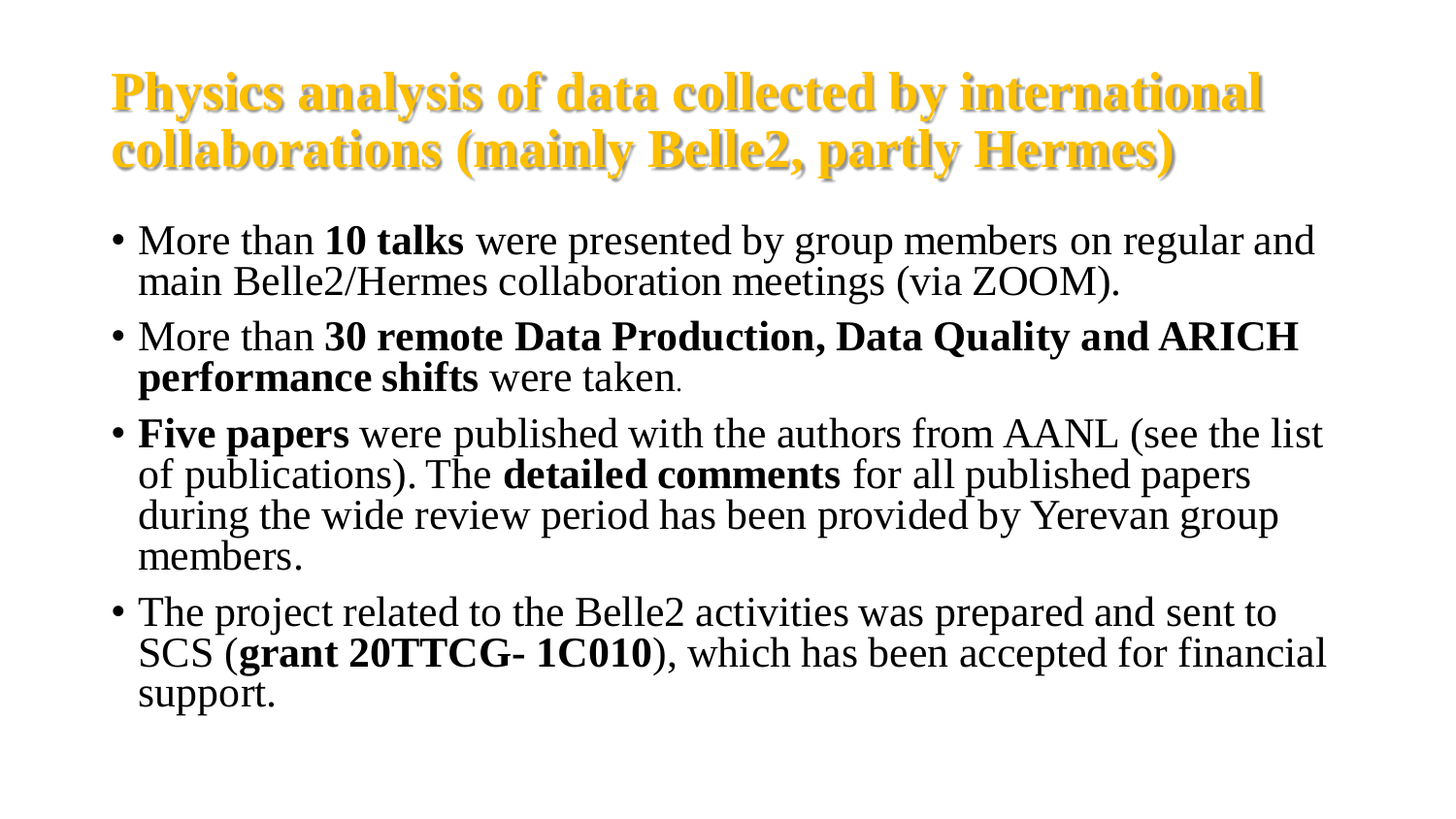- More than **10 talks** were presented by group members on regular and main Belle2/Hermes collaboration meetings (via ZOOM).
- More than **30 remote Data Production, Data Quality and ARICH performance shifts** were taken.
- **Five papers** were published with the authors from AANL (see the list of publications). The **detailed comments** for all published papers during the wide review period has been provided by Yerevan group members.
- The project related to the Belle2 activities was prepared and sent to SCS (**grant 20TTCG- 1C010**), which has been accepted for financial support.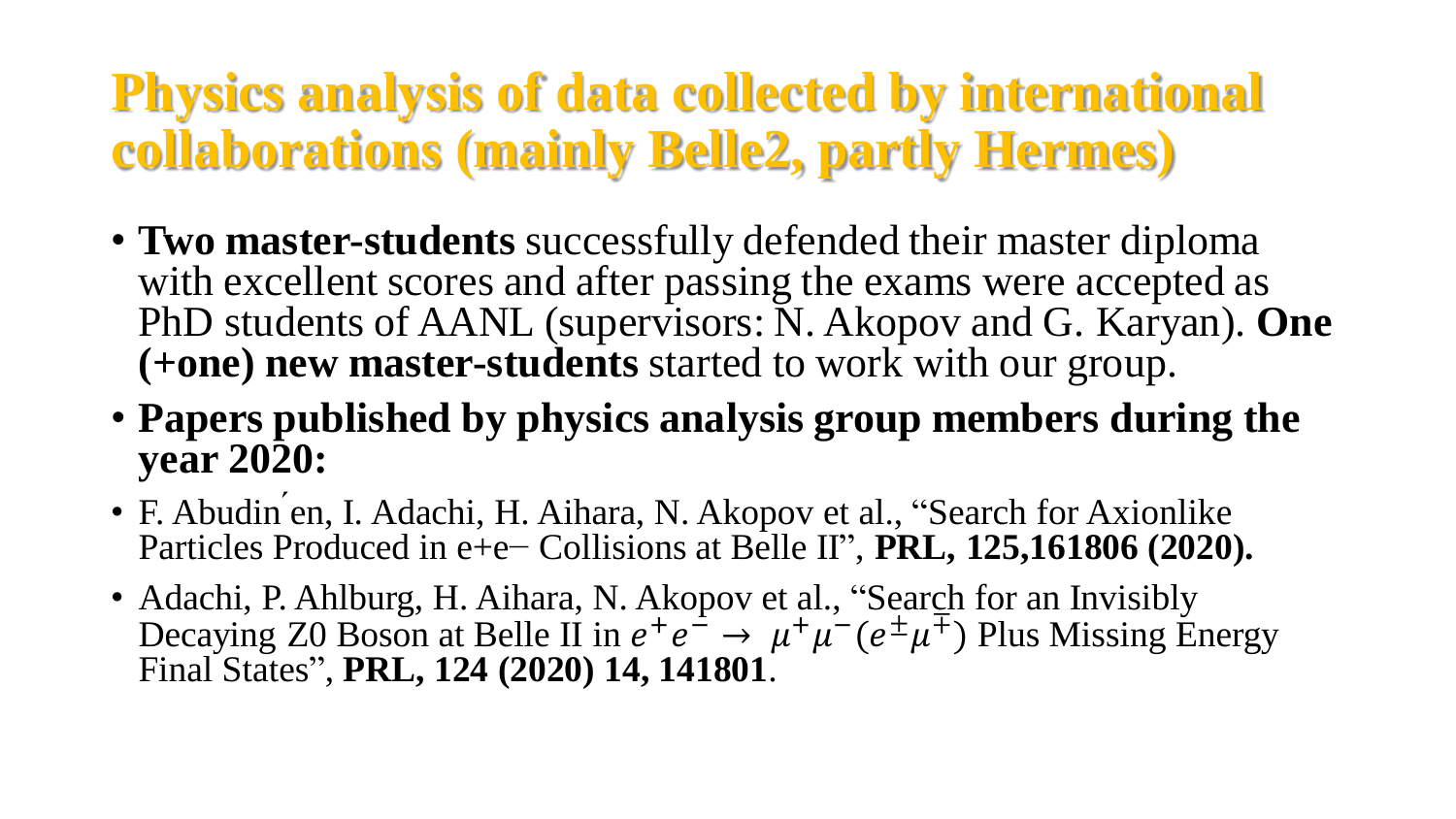- **Two master-students** successfully defended their master diploma with excellent scores and after passing the exams were accepted as PhD students of AANL (supervisors: N. Akopov and G. Karyan). **One (+one) new master-students** started to work with our group.
- **Papers published by physics analysis group members during the year 2020:**
- F. Abudin ́en, I. Adachi, H. Aihara, N. Akopov et al., "Search for Axionlike Particles Produced in e+e− Collisions at Belle II" , **PRL, 125,161806 (2020).**
- Adachi, P. Ahlburg, H. Aihara, N. Akopov et al., "Search for an Invisibly Decaying Z0 Boson at Belle II in  $e^+e^- \to \mu^+\mu^-(e^{\pm}\mu^{\mp})$  Plus Missing Energy Final States" , **PRL, 124 (2020) 14, 141801**.